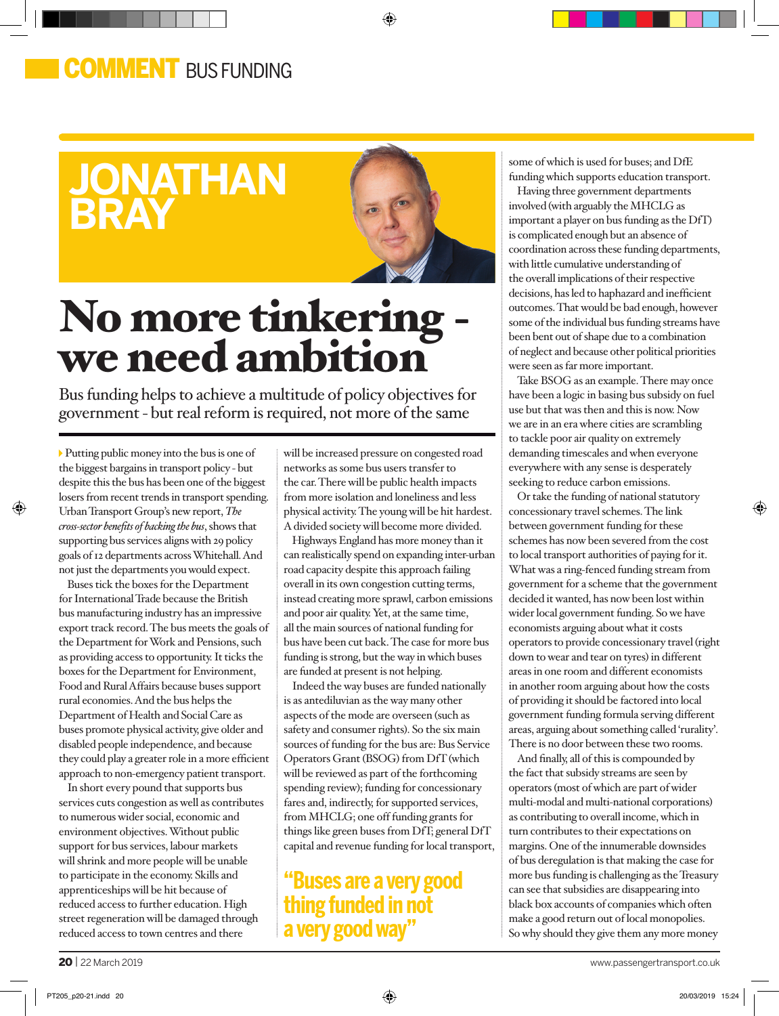### COMMENT BUS FUNDING

## **jonathan bray**



◈

# No more tinkering we need ambition

Bus funding helps to achieve a multitude of policy objectives for government - but real reform is required, not more of the same

Putting public money into the bus is one of the biggest bargains in transport policy - but despite this the bus has been one of the biggest losers from recent trends in transport spending. Urban Transport Group's new report, *The cross-sector benefits of backing the bus*, shows that supporting bus services aligns with 29 policy goals of 12 departments across Whitehall. And not just the departments you would expect.

⊕

Buses tick the boxes for the Department for International Trade because the British bus manufacturing industry has an impressive export track record. The bus meets the goals of the Department for Work and Pensions, such as providing access to opportunity. It ticks the boxes for the Department for Environment, Food and Rural Affairs because buses support rural economies. And the bus helps the Department of Health and Social Care as buses promote physical activity, give older and disabled people independence, and because they could play a greater role in a more efficient approach to non-emergency patient transport.

In short every pound that supports bus services cuts congestion as well as contributes to numerous wider social, economic and environment objectives. Without public support for bus services, labour markets will shrink and more people will be unable to participate in the economy. Skills and apprenticeships will be hit because of reduced access to further education. High street regeneration will be damaged through reduced access to town centres and there

will be increased pressure on congested road networks as some bus users transfer to the car. There will be public health impacts from more isolation and loneliness and less physical activity. The young will be hit hardest. A divided society will become more divided.

Highways England has more money than it can realistically spend on expanding inter-urban road capacity despite this approach failing overall in its own congestion cutting terms, instead creating more sprawl, carbon emissions and poor air quality. Yet, at the same time, all the main sources of national funding for bus have been cut back. The case for more bus funding is strong, but the way in which buses are funded at present is not helping.

Indeed the way buses are funded nationally is as antediluvian as the way many other aspects of the mode are overseen (such as safety and consumer rights). So the six main sources of funding for the bus are: Bus Service Operators Grant (BSOG) from DfT (which will be reviewed as part of the forthcoming spending review); funding for concessionary fares and, indirectly, for supported services, from MHCLG; one off funding grants for things like green buses from DfT; general DfT capital and revenue funding for local transport,

#### **"Buses are a very good thing funded in not a very good way"**

some of which is used for buses; and DfE funding which supports education transport.

Having three government departments involved (with arguably the MHCLG as important a player on bus funding as the DfT) is complicated enough but an absence of coordination across these funding departments, with little cumulative understanding of the overall implications of their respective decisions, has led to haphazard and inefficient outcomes. That would be bad enough, however some of the individual bus funding streams have been bent out of shape due to a combination of neglect and because other political priorities were seen as far more important.

Take BSOG as an example. There may once have been a logic in basing bus subsidy on fuel use but that was then and this is now. Now we are in an era where cities are scrambling to tackle poor air quality on extremely demanding timescales and when everyone everywhere with any sense is desperately seeking to reduce carbon emissions.

Or take the funding of national statutory concessionary travel schemes. The link between government funding for these schemes has now been severed from the cost to local transport authorities of paying for it. What was a ring-fenced funding stream from government for a scheme that the government decided it wanted, has now been lost within wider local government funding. So we have economists arguing about what it costs operators to provide concessionary travel (right down to wear and tear on tyres) in different areas in one room and different economists in another room arguing about how the costs of providing it should be factored into local government funding formula serving different areas, arguing about something called 'rurality'. There is no door between these two rooms.

And finally, all of this is compounded by the fact that subsidy streams are seen by operators (most of which are part of wider multi-modal and multi-national corporations) as contributing to overall income, which in turn contributes to their expectations on margins. One of the innumerable downsides of bus deregulation is that making the case for more bus funding is challenging as the Treasury can see that subsidies are disappearing into black box accounts of companies which often make a good return out of local monopolies. So why should they give them any more money

⊕